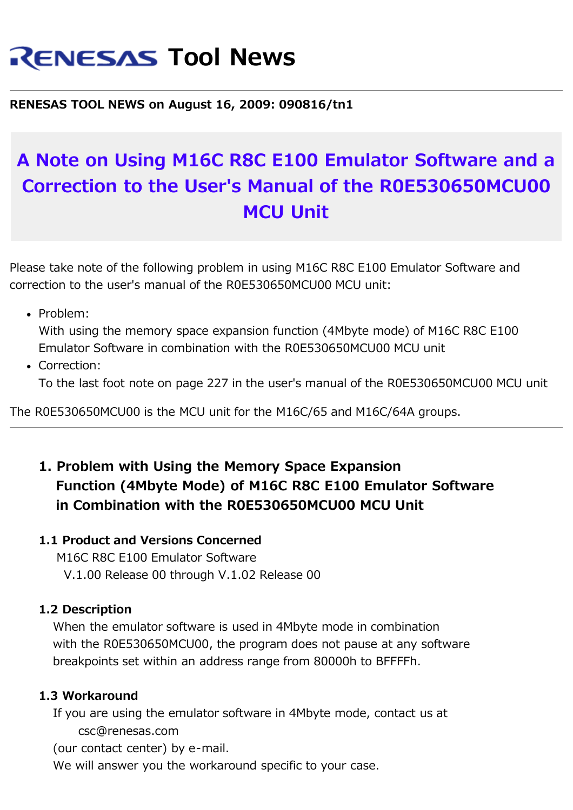# **RENESAS Tool News**

**RENESAS TOOL NEWS on August 16, 2009: 090816/tn1**

## **A Note on Using M16C R8C E100 Emulator Software and a Correction to the User's Manual of the R0E530650MCU00 MCU Unit**

Please take note of the following problem in using M16C R8C E100 Emulator Software and correction to the user's manual of the R0E530650MCU00 MCU unit:

• Problem:

With using the memory space expansion function (4Mbyte mode) of M16C R8C E100 Emulator Software in combination with the R0E530650MCU00 MCU unit

Correction: To the last foot note on page 227 in the user's manual of the R0E530650MCU00 MCU unit

The R0E530650MCU00 is the MCU unit for the M16C/65 and M16C/64A groups.

### **1. Problem with Using the Memory Space Expansion Function (4Mbyte Mode) of M16C R8C E100 Emulator Software in Combination with the R0E530650MCU00 MCU Unit**

#### **1.1 Product and Versions Concerned**

 M16C R8C E100 Emulator Software V.1.00 Release 00 through V.1.02 Release 00

#### **1.2 Description**

 When the emulator software is used in 4Mbyte mode in combination with the R0E530650MCU00, the program does not pause at any software breakpoints set within an address range from 80000h to BFFFFh.

#### **1.3 Workaround**

 If you are using the emulator software in 4Mbyte mode, contact us at csc@renesas.com

(our contact center) by e-mail.

We will answer you the workaround specific to your case.